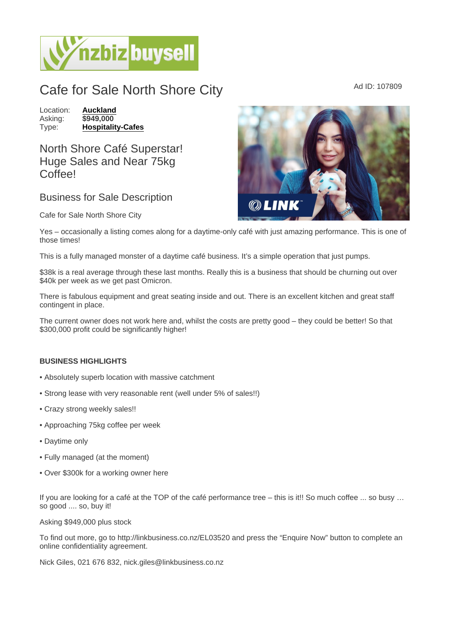## Cafe for Sale North Shore City Ad ID: 107809

Location: [Auckland](https://www.nzbizbuysell.co.nz/businesses-for-sale/location/Auckland) Asking: \$949,000 Type: [Hospitality-Cafes](https://www.nzbizbuysell.co.nz/businesses-for-sale/Cafes/New-Zealand)

North Shore Café Superstar! Huge Sales and Near 75kg Coffee!

## Business for Sale Description

Cafe for Sale North Shore City

Yes – occasionally a listing comes along for a daytime-only café with just amazing performance. This is one of those times!

This is a fully managed monster of a daytime café business. It's a simple operation that just pumps.

\$38k is a real average through these last months. Really this is a business that should be churning out over \$40k per week as we get past Omicron.

There is fabulous equipment and great seating inside and out. There is an excellent kitchen and great staff contingent in place.

The current owner does not work here and, whilst the costs are pretty good – they could be better! So that \$300,000 profit could be significantly higher!

## BUSINESS HIGHLIGHTS

- Absolutely superb location with massive catchment
- Strong lease with very reasonable rent (well under 5% of sales!!)
- Crazy strong weekly sales!!
- Approaching 75kg coffee per week
- Daytime only
- Fully managed (at the moment)
- Over \$300k for a working owner here

If you are looking for a café at the TOP of the café performance tree – this is it!! So much coffee ... so busy … so good .... so, buy it!

Asking \$949,000 plus stock

To find out more, go to http://linkbusiness.co.nz/EL03520 and press the "Enquire Now" button to complete an online confidentiality agreement.

Nick Giles, 021 676 832, nick.giles@linkbusiness.co.nz